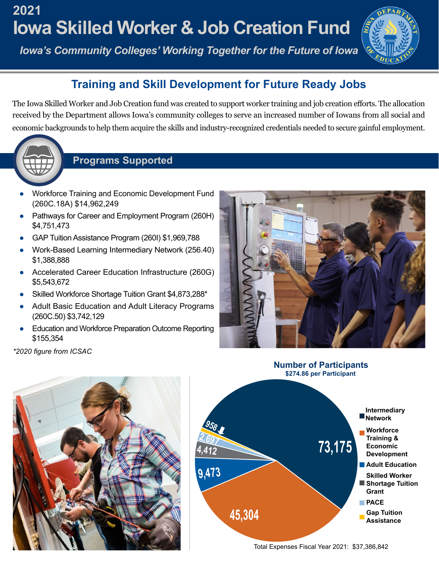## **Iowa Skilled Worker & Job Creation Fund 2021**

*Iowa's Community Colleges' Working Together for the Future of Iowa* 



## **Training and Skill Development for Future Ready Jobs**

 The Iowa Skilled Worker and Job Creation fund was created to support worker training and job creation efforts. The allocation received by the Department allows Iowa's community colleges to serve an increased number of Iowans from all social and economic backgrounds to help them acquire the skills and industry-recognized credentials needed to secure gainful employment.



## **Programs Supported**

- Workforce Training and Economic Development Fund (260C.18A) \$14,962,249
- Pathways for Career and Employment Program (260H) \$4,751,473
- GAP Tuition Assistance Program (260I) \$1,969,788
- Work-Based Learning Intermediary Network (256.40) \$1,388,888
- Accelerated Career Education Infrastructure (260G) \$5,543,672
- Skilled Workforce Shortage Tuition Grant \$4,873,288\*
- Adult Basic Education and Adult Literacy Programs (260C.50) \$3,742,129
- Education and Workforce Preparation Outcome Reporting \$155,354



**Number of Participants \$274.86 per Participant** 

*\*2020 figure from ICSAC*





Total Expenses Fiscal Year 2021: \$37,386,842